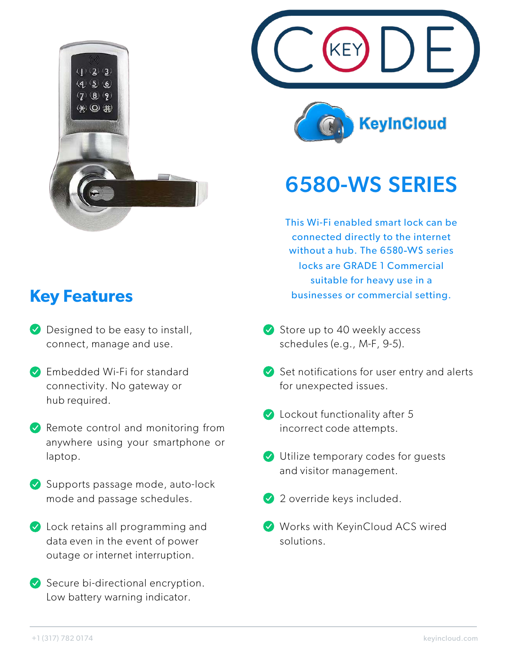

## **Key Features**

- **Designed to be easy to install,** connect, manage and use.
- **Embedded Wi-Fi for standard** connectivity. No gateway or hub required.
- $\vee$  Remote control and monitoring from anywhere using your smartphone or laptop.
- Supports passage mode, auto-lock mode and passage schedules.
- **V** Lock retains all programming and data even in the event of power outage or internet interruption.
- $\vee$  Secure bi-directional encryption. Low battery warning indicator.





## 6580-WS SERIES

This Wi-Fi enabled smart lock can be connected directly to the internet without a hub. The 6580-WS series locks are GRADE 1 Commercial suitable for heavy use in a businesses or commercial setting.

- $\vee$  Store up to 40 weekly access schedules (e.g., M-F, 9-5).
- $\blacktriangleright$  Set notifications for user entry and alerts for unexpected issues.
- **C** Lockout functionality after 5 incorrect code attempts.
- Utilize temporary codes for guests and visitor management.
- 2 override keys included.
- Works with KeyinCloud ACS wired solutions.